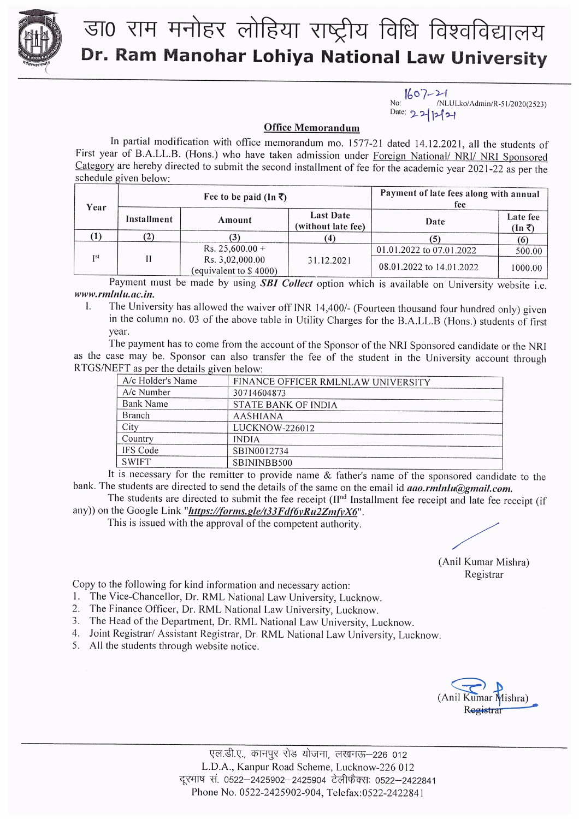

## डा0 राम मनोहर लोहिया राष्ट्रीय विधि विश्वविद्यालय Dr. Ram Manohar Lohiya National Law University

 $1607 - 21$ <br>No: /NLULko/Admin/R-51/2020(2523)<br>Date: 2 2 12 21

## **Office Memorandum**

In partial modification with office memorandum mo. 1577-21 dated 14.12.2021, all the students of First year of B.A.LL.B. (Hons.) who have taken admission under Foreign National/ NRI/ NRI Sponsored Category are hereby directed to submit the second installment of fee for the academic year 2021-22 as per the schedule given below:

| Year       | Fee to be paid (In $\bar{x}$ ) |                                           |                                        | Payment of late fees along with annual<br>fee |                                                     |
|------------|--------------------------------|-------------------------------------------|----------------------------------------|-----------------------------------------------|-----------------------------------------------------|
|            | Installment                    | Amount                                    | <b>Last Date</b><br>(without late fee) | Date                                          | Late fee<br>$(\text{In} \; \overline{\mathcal{K}})$ |
|            | 2)                             |                                           |                                        |                                               |                                                     |
| <b>TSt</b> |                                | Rs. $25,600.00 +$                         | 31.12.2021                             | 01.01.2022 to 07.01.2022                      | 500.00                                              |
|            |                                | Rs. 3,02,000.00<br>(equivalent to \$4000) |                                        | 08.01.2022 to 14.01.2022                      | 1000.00                                             |

Payment must be made by using SBI Collect option which is available on University website i.e. www.rmlnlu.ac.in.

L The University has allowed the waiver off INR 14,400/- (Fourteen thousand four hundred only) given in the column no. 03 of the above table in Utility Charges for the B.A.LL.B (Hons.) students of first year.

The payment has to come from the account of the Sponsor of the NRI Sponsored candidate or the NRI as the case may be. Sponsor can also transfer the fee of the student in the University account through RTGS/NEFT as per the details given below:

| A/c Holder's Name | FINANCE OFFICER RMLNLAW UNIVERSITY |  |  |  |
|-------------------|------------------------------------|--|--|--|
| $A/c$ Number      | 30714604873                        |  |  |  |
| <b>Bank Name</b>  | STATE BANK OF INDIA                |  |  |  |
| Branch            | AASHIANA                           |  |  |  |
| City              | LUCKNOW-226012                     |  |  |  |
| Country           | <b>INDIA</b>                       |  |  |  |
| IFS Code          | SBIN0012734                        |  |  |  |
| <b>SWIFT</b>      | SBININBB500                        |  |  |  |

It is necessary for the remitter to provide name & father's name of the sponsored candidate to the bank. The students are directed to send the details of the same on the email id aao.rmInlu@gmail.com.

The students are directed to submit the fee receipt (II<sup>nd</sup> Installment fee receipt and late fee receipt (if any)) on the Google Link "https://forms.gle/t33Fdf6yRu2ZmfyX6".

This is issued with the approval of the competent authority.

(Anil Kumar Mishra) Registrar

Copy to the following for kind information and necessary action:

- 1. The Vice-Chancellor, Dr. RML National Law University, Lucknow.
- 2. The Finance Officer, Dr. RML National Law University, Lucknow.
- 3. The Head of the Department, Dr. RML National Law University, Lucknow.
- 4. Joint Registrar/ Assistant Registrar, Dr. RML National Law University, Lucknow.
- 5. All the students through website notice.

एल.डी.ए., कानपुर रोड योजना, लखनऊ-226 012 L.D.A., Kanpur Road Scheme, Lucknow-226 012 दूरभाष सं. 0522–2425902–2425904 टेलीफैक्सः 0522–2422841 Phone No. 0522-2425902-904, Telefax:0522-2422841